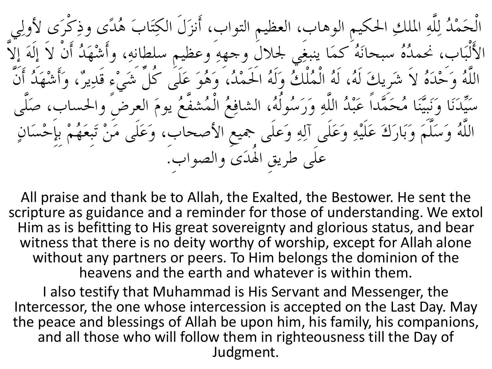الْحَمْدُ لِلَّهِ الملكِ الحكيمِ الوهاب، العظيمِ التواب، أَنزَلَ الكِتَابَ هُدًى وذِكْرَى لأولِي الأَلْبَاب، نحمدُهُ سبحانَهُ كمَا ينبغِي لجلالَ وجههِ وعظيم سلطانهِ، وأَشْهَدُ أَنْ لاَ إِلَهَ إِلاَّ اللَّهُ وَحَْدَهُ لاَ شَرِيكَ لَهُ، لَهُ الْمُلْكُ وَلَهُ الْحَمْدُ، وَهُوَ عَلَى كُلِّ شَيْءٍ قَدِيرٌ، وَأَشْهَدُ أَنَّ سَيِّدَنَا وَنَبِيَّنَا مُحَمَّداً عَبْدُ اللَّهِ وَرَسُولُهُ، الشافِعُ الْمُشفَّعُ يومَ العرضَ والحساب، صَلَّى اللَّهُ وَسَلَّمَ وَبَارَكَ عَلَيْهِ وَعَلَى آلِهِ وَعلَى جميعِ الأصحابِ، وَعَلَى مَنْ تَبِعَهُمْ بِإِحْسَانٍ علَى طريقِ الهُدَىِ والصواب.

All praise and thank be to Allah, the Exalted, the Bestower. He sent the scripture as guidance and a reminder for those of understanding. We extol Him as is befitting to His great sovereignty and glorious status, and bear witness that there is no deity worthy of worship, except for Allah alone without any partners or peers. To Him belongs the dominion of the heavens and the earth and whatever is within them.

I also testify that Muhammad is His Servant and Messenger, the Intercessor, the one whose intercession is accepted on the Last Day. May the peace and blessings of Allah be upon him, his family, his companions, and all those who will follow them in righteousness till the Day of Judgment.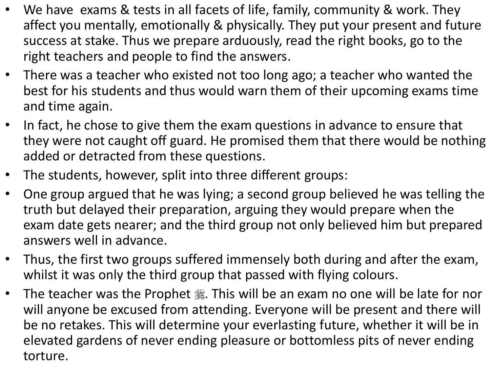- We have exams & tests in all facets of life, family, community & work. They affect you mentally, emotionally & physically. They put your present and future success at stake. Thus we prepare arduously, read the right books, go to the right teachers and people to find the answers.
- There was a teacher who existed not too long ago; a teacher who wanted the best for his students and thus would warn them of their upcoming exams time and time again.
- In fact, he chose to give them the exam questions in advance to ensure that they were not caught off guard. He promised them that there would be nothing added or detracted from these questions.
- The students, however, split into three different groups:
- One group argued that he was lying; a second group believed he was telling the truth but delayed their preparation, arguing they would prepare when the exam date gets nearer; and the third group not only believed him but prepared answers well in advance.
- Thus, the first two groups suffered immensely both during and after the exam, whilst it was only the third group that passed with flying colours.
- The teacher was the Prophet . This will be an exam no one will be late for nor will anyone be excused from attending. Everyone will be present and there will be no retakes. This will determine your everlasting future, whether it will be in elevated gardens of never ending pleasure or bottomless pits of never ending torture.